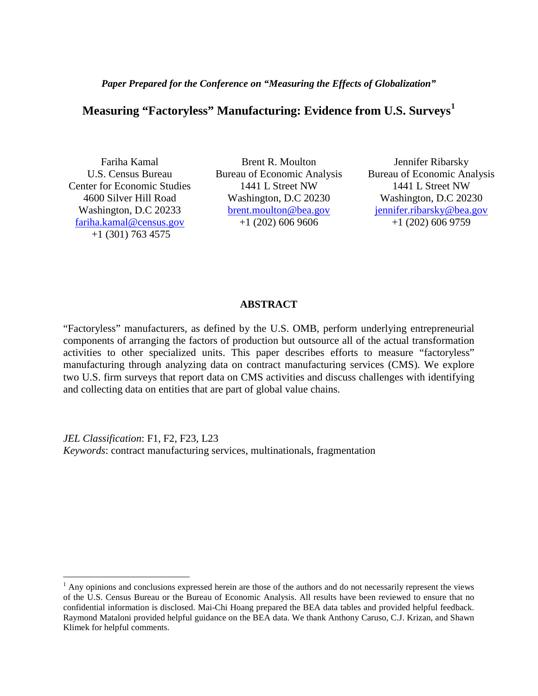*Paper Prepared for the Conference on "Measuring the Effects of Globalization"*

# **Measuring "Factoryless" Manufacturing: Evidence from U.S. Surveys[1](#page-0-0)**

Fariha Kamal U.S. Census Bureau Center for Economic Studies 4600 Silver Hill Road Washington, D.C 20233 [fariha.kamal@census.gov](mailto:fariha.kamal@census.gov) +1 (301) 763 4575

Brent R. Moulton Bureau of Economic Analysis 1441 L Street NW Washington, D.C 20230 [brent.moulton@bea.gov](mailto:brent.moulton@bea.gov) +1 (202) 606 9606

Jennifer Ribarsky Bureau of Economic Analysis 1441 L Street NW Washington, D.C 20230 [jennifer.ribarsky@bea.gov](mailto:jennifer.ribarsky@bea.gov) +1 (202) 606 9759

#### **ABSTRACT**

"Factoryless" manufacturers, as defined by the U.S. OMB, perform underlying entrepreneurial components of arranging the factors of production but outsource all of the actual transformation activities to other specialized units. This paper describes efforts to measure "factoryless" manufacturing through analyzing data on contract manufacturing services (CMS). We explore two U.S. firm surveys that report data on CMS activities and discuss challenges with identifying and collecting data on entities that are part of global value chains.

*JEL Classification*: F1, F2, F23, L23 *Keywords*: contract manufacturing services, multinationals, fragmentation

<span id="page-0-1"></span><span id="page-0-0"></span> $<sup>1</sup>$  Any opinions and conclusions expressed herein are those of the authors and do not necessarily represent the views</sup> of the U.S. Census Bureau or the Bureau of Economic Analysis. All results have been reviewed to ensure that no confidential information is disclosed. Mai-Chi Hoang prepared the BEA data tables and provided helpful feedback. Raymond Mataloni provided helpful guidance on the BEA data. We thank Anthony Caruso, C.J. Krizan, and Shawn Klimek for helpful comments.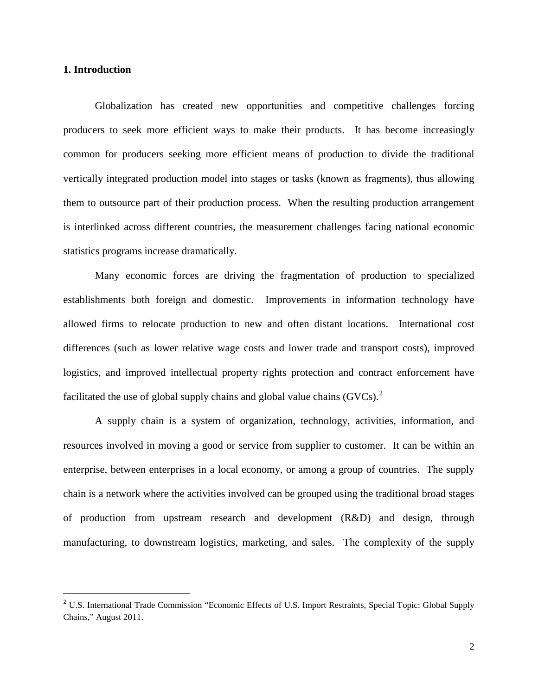#### **1. Introduction**

<span id="page-1-0"></span> $\overline{a}$ 

Globalization has created new opportunities and competitive challenges forcing producers to seek more efficient ways to make their products. It has become increasingly common for producers seeking more efficient means of production to divide the traditional vertically integrated production model into stages or tasks (known as fragments), thus allowing them to outsource part of their production process. When the resulting production arrangement is interlinked across different countries, the measurement challenges facing national economic statistics programs increase dramatically.

Many economic forces are driving the fragmentation of production to specialized establishments both foreign and domestic. Improvements in information technology have allowed firms to relocate production to new and often distant locations. International cost differences (such as lower relative wage costs and lower trade and transport costs), improved logistics, and improved intellectual property rights protection and contract enforcement have facilitated the use of global supply chains and global value chains  $(GVCs)$ .

A supply chain is a system of organization, technology, activities, information, and resources involved in moving a good or service from supplier to customer. It can be within an enterprise, between enterprises in a local economy, or among a group of countries. The supply chain is a network where the activities involved can be grouped using the traditional broad stages of production from upstream research and development (R&D) and design, through manufacturing, to downstream logistics, marketing, and sales. The complexity of the supply

<sup>&</sup>lt;sup>2</sup> U.S. International Trade Commission "Economic Effects of U.S. Import Restraints, Special Topic: Global Supply Chains," August 2011.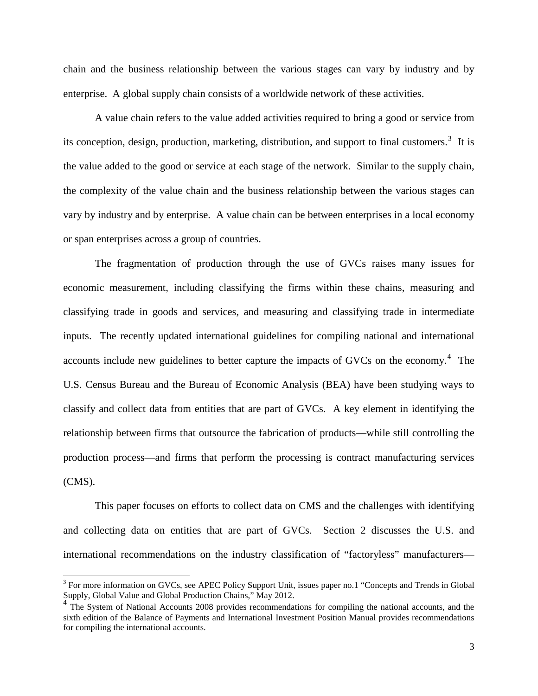chain and the business relationship between the various stages can vary by industry and by enterprise. A global supply chain consists of a worldwide network of these activities.

A value chain refers to the value added activities required to bring a good or service from its conception, design, production, marketing, distribution, and support to final customers.<sup>[3](#page-1-0)</sup> It is the value added to the good or service at each stage of the network. Similar to the supply chain, the complexity of the value chain and the business relationship between the various stages can vary by industry and by enterprise. A value chain can be between enterprises in a local economy or span enterprises across a group of countries.

The fragmentation of production through the use of GVCs raises many issues for economic measurement, including classifying the firms within these chains, measuring and classifying trade in goods and services, and measuring and classifying trade in intermediate inputs. The recently updated international guidelines for compiling national and international accounts include new guidelines to better capture the impacts of GVCs on the economy.<sup>[4](#page-2-0)</sup> The U.S. Census Bureau and the Bureau of Economic Analysis (BEA) have been studying ways to classify and collect data from entities that are part of GVCs. A key element in identifying the relationship between firms that outsource the fabrication of products—while still controlling the production process—and firms that perform the processing is contract manufacturing services (CMS).

This paper focuses on efforts to collect data on CMS and the challenges with identifying and collecting data on entities that are part of GVCs. Section 2 discusses the U.S. and international recommendations on the industry classification of "factoryless" manufacturers—

<sup>&</sup>lt;sup>3</sup> For more information on GVCs, see APEC Policy Support Unit, issues paper no.1 "Concepts and Trends in Global Supply, Global Value and Global Production Chains," May 2012.

<span id="page-2-0"></span><sup>&</sup>lt;sup>4</sup> The System of National Accounts 2008 provides recommendations for compiling the national accounts, and the sixth edition of the Balance of Payments and International Investment Position Manual provides recommendations for compiling the international accounts.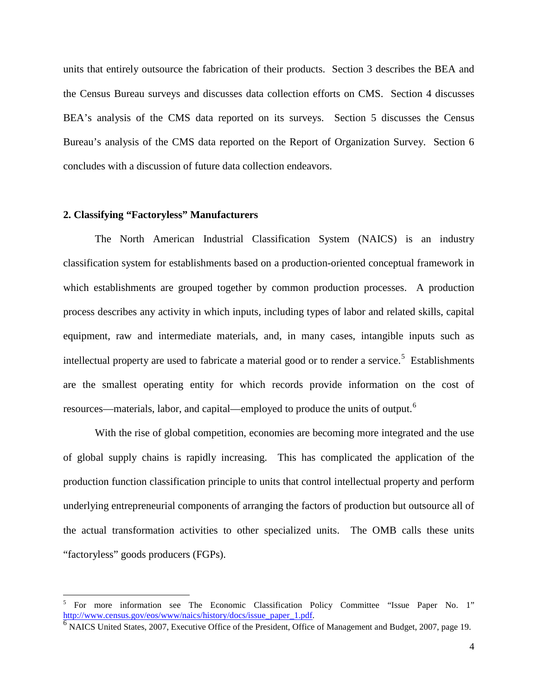units that entirely outsource the fabrication of their products. Section 3 describes the BEA and the Census Bureau surveys and discusses data collection efforts on CMS. Section 4 discusses BEA's analysis of the CMS data reported on its surveys. Section 5 discusses the Census Bureau's analysis of the CMS data reported on the Report of Organization Survey. Section 6 concludes with a discussion of future data collection endeavors.

#### **2. Classifying "Factoryless" Manufacturers**

The North American Industrial Classification System (NAICS) is an industry classification system for establishments based on a production-oriented conceptual framework in which establishments are grouped together by common production processes. A production process describes any activity in which inputs, including types of labor and related skills, capital equipment, raw and intermediate materials, and, in many cases, intangible inputs such as intellectual property are used to fabricate a material good or to render a service.<sup>[5](#page-2-0)</sup> Establishments are the smallest operating entity for which records provide information on the cost of resources—materials, labor, and capital—employed to produce the units of output.<sup>[6](#page-3-0)</sup>

With the rise of global competition, economies are becoming more integrated and the use of global supply chains is rapidly increasing. This has complicated the application of the production function classification principle to units that control intellectual property and perform underlying entrepreneurial components of arranging the factors of production but outsource all of the actual transformation activities to other specialized units. The OMB calls these units "factoryless" goods producers (FGPs).

<span id="page-3-1"></span> <sup>5</sup> For more information see The Economic Classification Policy Committee "Issue Paper No. 1" [http://www.census.gov/eos/www/naics/history/docs/issue\\_paper\\_1.pdf.](http://www.census.gov/eos/www/naics/history/docs/issue_paper_1.pdf)<br><sup>6</sup> NAICS United States, 2007, Executive Office of the President, Office of Management and Budget, 2007, page 19.

<span id="page-3-0"></span>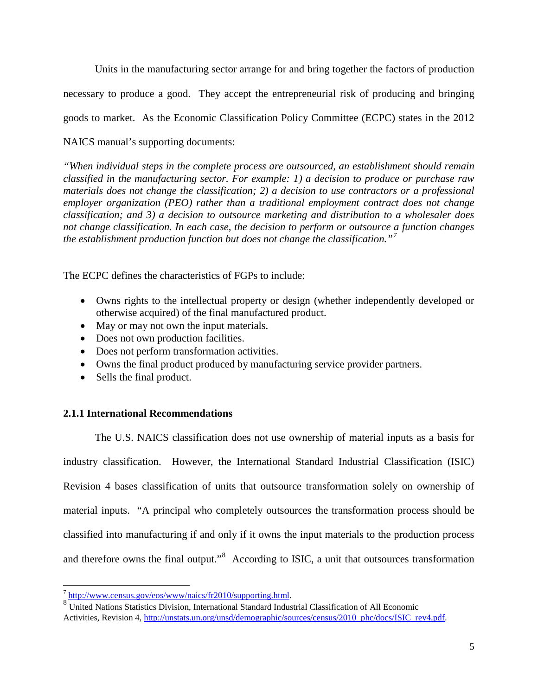Units in the manufacturing sector arrange for and bring together the factors of production necessary to produce a good. They accept the entrepreneurial risk of producing and bringing goods to market. As the Economic Classification Policy Committee (ECPC) states in the 2012 NAICS manual's supporting documents:

*"When individual steps in the complete process are outsourced, an establishment should remain classified in the manufacturing sector. For example: 1) a decision to produce or purchase raw materials does not change the classification; 2) a decision to use contractors or a professional employer organization (PEO) rather than a traditional employment contract does not change classification; and 3) a decision to outsource marketing and distribution to a wholesaler does not change classification. In each case, the decision to perform or outsource a function changes the establishment production function but does not change the classification."[7](#page-3-1)*

The ECPC defines the characteristics of FGPs to include:

- Owns rights to the intellectual property or design (whether independently developed or otherwise acquired) of the final manufactured product.
- May or may not own the input materials.
- Does not own production facilities.
- Does not perform transformation activities.
- Owns the final product produced by manufacturing service provider partners.
- Sells the final product.

## **2.1.1 International Recommendations**

The U.S. NAICS classification does not use ownership of material inputs as a basis for industry classification. However, the International Standard Industrial Classification (ISIC) Revision 4 bases classification of units that outsource transformation solely on ownership of material inputs. "A principal who completely outsources the transformation process should be classified into manufacturing if and only if it owns the input materials to the production process and therefore owns the final output."<sup>[8](#page-4-0)</sup> According to ISIC, a unit that outsources transformation

<span id="page-4-1"></span><span id="page-4-0"></span> $\frac{7}{8}$  [http://www.census.gov/eos/www/naics/fr2010/supporting.html.](http://www.census.gov/eos/www/naics/fr2010/supporting.html)<br>8 United Nations Statistics Division, International Standard Industrial Classification of All Economic Activities, Revision 4, [http://unstats.un.org/unsd/demographic/sources/census/2010\\_phc/docs/ISIC\\_rev4.pdf.](http://unstats.un.org/unsd/demographic/sources/census/2010_phc/docs/ISIC_rev4.pdf)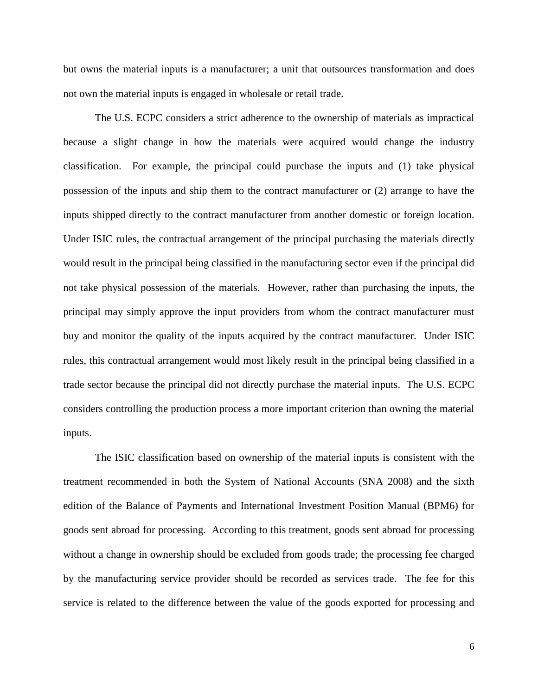but owns the material inputs is a manufacturer; a unit that outsources transformation and does not own the material inputs is engaged in wholesale or retail trade.

The U.S. ECPC considers a strict adherence to the ownership of materials as impractical because a slight change in how the materials were acquired would change the industry classification. For example, the principal could purchase the inputs and (1) take physical possession of the inputs and ship them to the contract manufacturer or (2) arrange to have the inputs shipped directly to the contract manufacturer from another domestic or foreign location. Under ISIC rules, the contractual arrangement of the principal purchasing the materials directly would result in the principal being classified in the manufacturing sector even if the principal did not take physical possession of the materials. However, rather than purchasing the inputs, the principal may simply approve the input providers from whom the contract manufacturer must buy and monitor the quality of the inputs acquired by the contract manufacturer. Under ISIC rules, this contractual arrangement would most likely result in the principal being classified in a trade sector because the principal did not directly purchase the material inputs. The U.S. ECPC considers controlling the production process a more important criterion than owning the material inputs.

The ISIC classification based on ownership of the material inputs is consistent with the treatment recommended in both the System of National Accounts (SNA 2008) and the sixth edition of the Balance of Payments and International Investment Position Manual (BPM6) for goods sent abroad for processing. According to this treatment, goods sent abroad for processing without a change in ownership should be excluded from goods trade; the processing fee charged by the manufacturing service provider should be recorded as services trade. The fee for this service is related to the difference between the value of the goods exported for processing and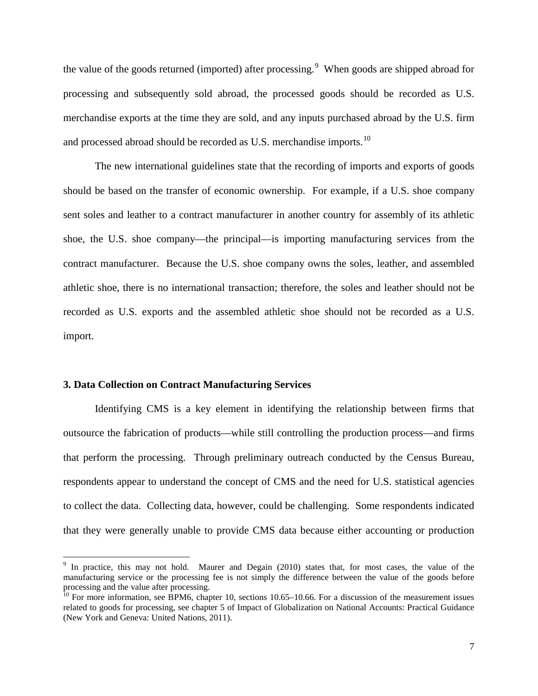the value of the goods returned (imported) after processing.<sup>[9](#page-4-1)</sup> When goods are shipped abroad for processing and subsequently sold abroad, the processed goods should be recorded as U.S. merchandise exports at the time they are sold, and any inputs purchased abroad by the U.S. firm and processed abroad should be recorded as U.S. merchandise imports.<sup>[10](#page-6-0)</sup>

The new international guidelines state that the recording of imports and exports of goods should be based on the transfer of economic ownership. For example, if a U.S. shoe company sent soles and leather to a contract manufacturer in another country for assembly of its athletic shoe, the U.S. shoe company—the principal—is importing manufacturing services from the contract manufacturer. Because the U.S. shoe company owns the soles, leather, and assembled athletic shoe, there is no international transaction; therefore, the soles and leather should not be recorded as U.S. exports and the assembled athletic shoe should not be recorded as a U.S. import.

#### **3. Data Collection on Contract Manufacturing Services**

Identifying CMS is a key element in identifying the relationship between firms that outsource the fabrication of products—while still controlling the production process—and firms that perform the processing. Through preliminary outreach conducted by the Census Bureau, respondents appear to understand the concept of CMS and the need for U.S. statistical agencies to collect the data. Collecting data, however, could be challenging. Some respondents indicated that they were generally unable to provide CMS data because either accounting or production

<sup>&</sup>lt;sup>9</sup> In practice, this may not hold. Maurer and Degain (2010) states that, for most cases, the value of the manufacturing service or the processing fee is not simply the difference between the value of the goods before

<span id="page-6-0"></span> $\frac{10}{10}$  For more information, see BPM6, chapter 10, sections 10.65–10.66. For a discussion of the measurement issues related to goods for processing, see chapter 5 of Impact of Globalization on National Accounts: Practical Guidance (New York and Geneva: United Nations, 2011).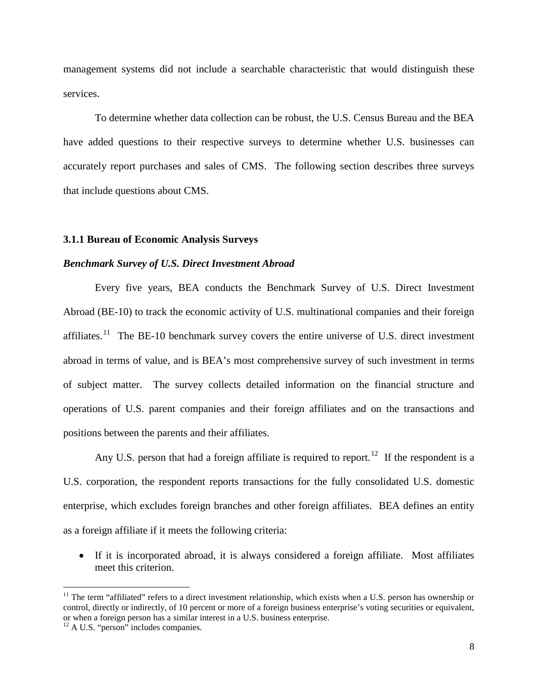management systems did not include a searchable characteristic that would distinguish these services.

To determine whether data collection can be robust, the U.S. Census Bureau and the BEA have added questions to their respective surveys to determine whether U.S. businesses can accurately report purchases and sales of CMS. The following section describes three surveys that include questions about CMS.

#### **3.1.1 Bureau of Economic Analysis Surveys**

#### *Benchmark Survey of U.S. Direct Investment Abroad*

Every five years, BEA conducts the Benchmark Survey of U.S. Direct Investment Abroad (BE-10) to track the economic activity of U.S. multinational companies and their foreign affiliates.<sup>11</sup> The BE-10 benchmark survey covers the entire universe of U.S. direct investment abroad in terms of value, and is BEA's most comprehensive survey of such investment in terms of subject matter. The survey collects detailed information on the financial structure and operations of U.S. parent companies and their foreign affiliates and on the transactions and positions between the parents and their affiliates.

Any U.S. person that had a foreign affiliate is required to report.<sup>12</sup> If the respondent is a U.S. corporation, the respondent reports transactions for the fully consolidated U.S. domestic enterprise, which excludes foreign branches and other foreign affiliates. BEA defines an entity as a foreign affiliate if it meets the following criteria:

• If it is incorporated abroad, it is always considered a foreign affiliate. Most affiliates meet this criterion.

 $11$  The term "affiliated" refers to a direct investment relationship, which exists when a U.S. person has ownership or control, directly or indirectly, of 10 percent or more of a foreign business enterprise's voting securities or equivalent, or when a foreign person has a similar interest in a U.S. business enterprise. <sup>12</sup> A U.S. "person" includes companies.

<span id="page-7-1"></span><span id="page-7-0"></span>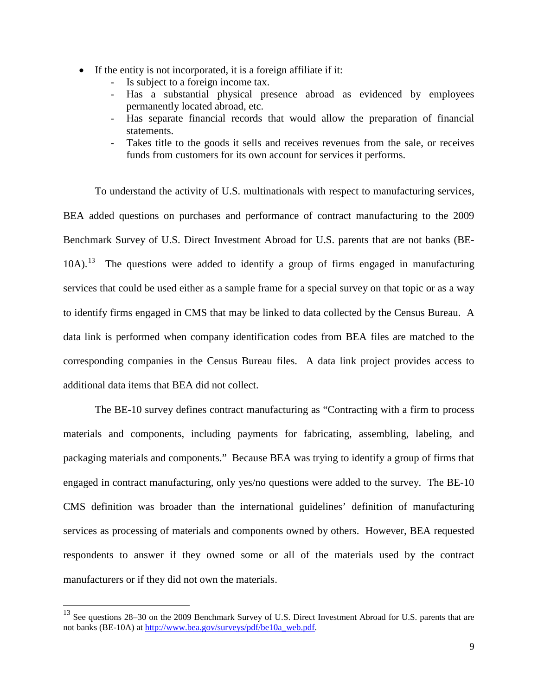- If the entity is not incorporated, it is a foreign affiliate if it:
	- Is subject to a foreign income tax.
	- Has a substantial physical presence abroad as evidenced by employees permanently located abroad, etc.
	- Has separate financial records that would allow the preparation of financial statements.
	- Takes title to the goods it sells and receives revenues from the sale, or receives funds from customers for its own account for services it performs.

To understand the activity of U.S. multinationals with respect to manufacturing services, BEA added questions on purchases and performance of contract manufacturing to the 2009 Benchmark Survey of U.S. Direct Investment Abroad for U.S. parents that are not banks (BE- $10A$ ).<sup>[13](#page-7-1)</sup> The questions were added to identify a group of firms engaged in manufacturing services that could be used either as a sample frame for a special survey on that topic or as a way to identify firms engaged in CMS that may be linked to data collected by the Census Bureau. A data link is performed when company identification codes from BEA files are matched to the corresponding companies in the Census Bureau files. A data link project provides access to additional data items that BEA did not collect.

The BE-10 survey defines contract manufacturing as "Contracting with a firm to process materials and components, including payments for fabricating, assembling, labeling, and packaging materials and components." Because BEA was trying to identify a group of firms that engaged in contract manufacturing, only yes/no questions were added to the survey. The BE-10 CMS definition was broader than the international guidelines' definition of manufacturing services as processing of materials and components owned by others. However, BEA requested respondents to answer if they owned some or all of the materials used by the contract manufacturers or if they did not own the materials.

<span id="page-8-0"></span> <sup>13</sup> See questions 28–30 on the 2009 Benchmark Survey of U.S. Direct Investment Abroad for U.S. parents that are not banks (BE-10A) at [http://www.bea.gov/surveys/pdf/be10a\\_web.pdf.](http://www.bea.gov/surveys/pdf/be10a_web.pdf)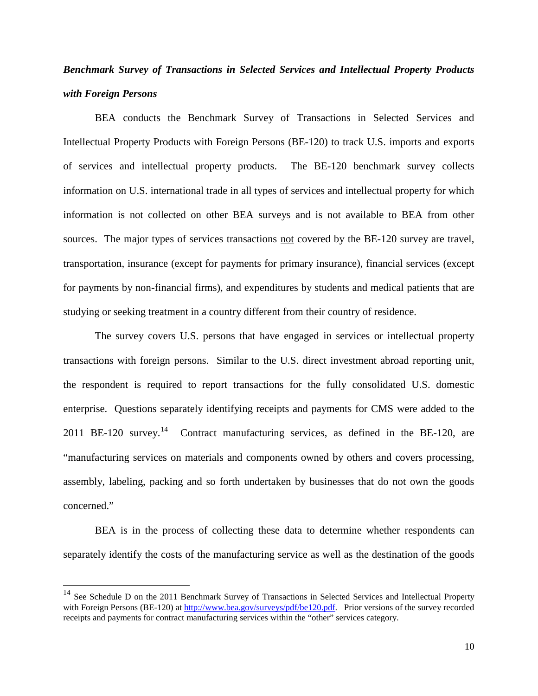# *Benchmark Survey of Transactions in Selected Services and Intellectual Property Products with Foreign Persons*

BEA conducts the Benchmark Survey of Transactions in Selected Services and Intellectual Property Products with Foreign Persons (BE-120) to track U.S. imports and exports of services and intellectual property products. The BE-120 benchmark survey collects information on U.S. international trade in all types of services and intellectual property for which information is not collected on other BEA surveys and is not available to BEA from other sources. The major types of services transactions not covered by the BE-120 survey are travel, transportation, insurance (except for payments for primary insurance), financial services (except for payments by non-financial firms), and expenditures by students and medical patients that are studying or seeking treatment in a country different from their country of residence.

The survey covers U.S. persons that have engaged in services or intellectual property transactions with foreign persons. Similar to the U.S. direct investment abroad reporting unit, the respondent is required to report transactions for the fully consolidated U.S. domestic enterprise. Questions separately identifying receipts and payments for CMS were added to the 2011 BE-120 survey.<sup>[14](#page-8-0)</sup> Contract manufacturing services, as defined in the BE-120, are "manufacturing services on materials and components owned by others and covers processing, assembly, labeling, packing and so forth undertaken by businesses that do not own the goods concerned."

BEA is in the process of collecting these data to determine whether respondents can separately identify the costs of the manufacturing service as well as the destination of the goods

<span id="page-9-0"></span><sup>&</sup>lt;sup>14</sup> See Schedule D on the 2011 Benchmark Survey of Transactions in Selected Services and Intellectual Property with Foreign Persons (BE-120) a[t http://www.bea.gov/surveys/pdf/be120.pdf.](http://www.bea.gov/surveys/pdf/be120.pdf) Prior versions of the survey recorded receipts and payments for contract manufacturing services within the "other" services category.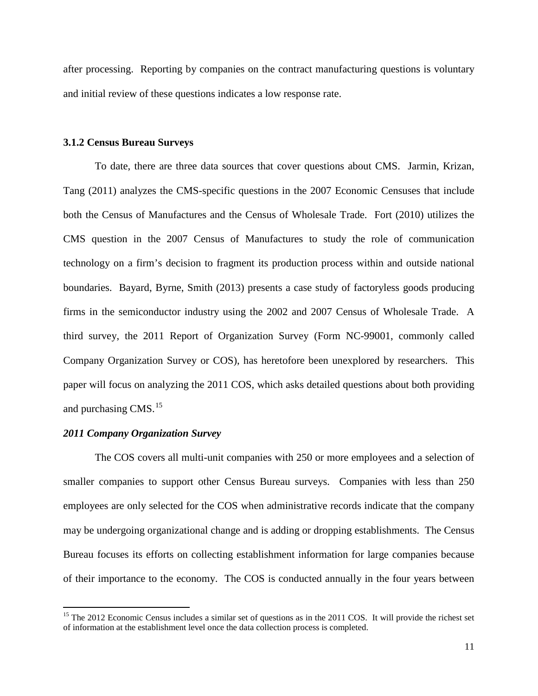after processing. Reporting by companies on the contract manufacturing questions is voluntary and initial review of these questions indicates a low response rate.

#### **3.1.2 Census Bureau Surveys**

To date, there are three data sources that cover questions about CMS. Jarmin, Krizan, Tang (2011) analyzes the CMS-specific questions in the 2007 Economic Censuses that include both the Census of Manufactures and the Census of Wholesale Trade. Fort (2010) utilizes the CMS question in the 2007 Census of Manufactures to study the role of communication technology on a firm's decision to fragment its production process within and outside national boundaries. Bayard, Byrne, Smith (2013) presents a case study of factoryless goods producing firms in the semiconductor industry using the 2002 and 2007 Census of Wholesale Trade. A third survey, the 2011 Report of Organization Survey (Form NC-99001, commonly called Company Organization Survey or COS), has heretofore been unexplored by researchers. This paper will focus on analyzing the 2011 COS, which asks detailed questions about both providing and purchasing CMS.<sup>[15](#page-9-0)</sup>

#### *2011 Company Organization Survey*

The COS covers all multi-unit companies with 250 or more employees and a selection of smaller companies to support other Census Bureau surveys. Companies with less than 250 employees are only selected for the COS when administrative records indicate that the company may be undergoing organizational change and is adding or dropping establishments. The Census Bureau focuses its efforts on collecting establishment information for large companies because of their importance to the economy. The COS is conducted annually in the four years between

<span id="page-10-0"></span> $15$  The 2012 Economic Census includes a similar set of questions as in the 2011 COS. It will provide the richest set of information at the establishment level once the data collection process is completed.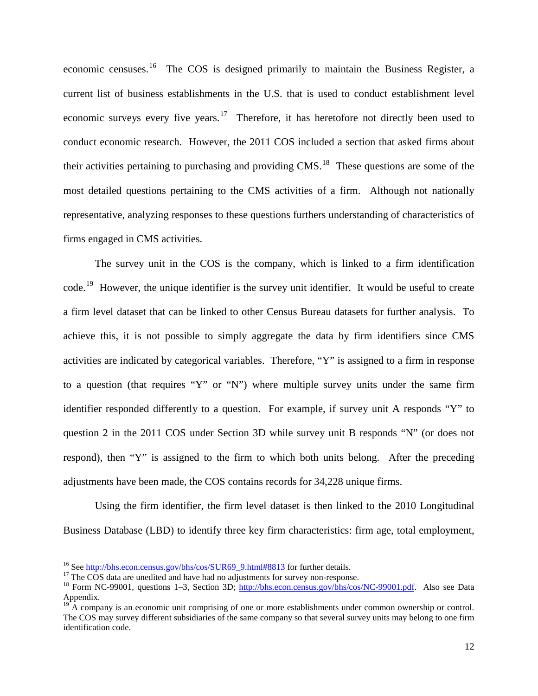economic censuses.[16](#page-10-0) The COS is designed primarily to maintain the Business Register, a current list of business establishments in the U.S. that is used to conduct establishment level economic surveys every five years.<sup>[17](#page-11-0)</sup> Therefore, it has heretofore not directly been used to conduct economic research. However, the 2011 COS included a section that asked firms about their activities pertaining to purchasing and providing CMS.[18](#page-11-1) These questions are some of the most detailed questions pertaining to the CMS activities of a firm. Although not nationally representative, analyzing responses to these questions furthers understanding of characteristics of firms engaged in CMS activities.

The survey unit in the COS is the company, which is linked to a firm identification code.[19](#page-11-2) However, the unique identifier is the survey unit identifier. It would be useful to create a firm level dataset that can be linked to other Census Bureau datasets for further analysis. To achieve this, it is not possible to simply aggregate the data by firm identifiers since CMS activities are indicated by categorical variables. Therefore, "Y" is assigned to a firm in response to a question (that requires "Y" or "N") where multiple survey units under the same firm identifier responded differently to a question. For example, if survey unit A responds "Y" to question 2 in the 2011 COS under Section 3D while survey unit B responds "N" (or does not respond), then "Y" is assigned to the firm to which both units belong. After the preceding adjustments have been made, the COS contains records for 34,228 unique firms.

Using the firm identifier, the firm level dataset is then linked to the 2010 Longitudinal Business Database (LBD) to identify three key firm characteristics: firm age, total employment,

<span id="page-11-0"></span>

<span id="page-11-1"></span>

<sup>&</sup>lt;sup>16</sup> See [http://bhs.econ.census.gov/bhs/cos/SUR69\\_9.html#8813](http://bhs.econ.census.gov/bhs/cos/SUR69_9.html#8813) for further details.<br><sup>17</sup> The COS data are unedited and have had no adjustments for survey non-response.<br><sup>18</sup> Form NC-99001, questions 1–3, Section 3D; http:// Appendix.

<span id="page-11-3"></span><span id="page-11-2"></span> $19^{\circ}$  A company is an economic unit comprising of one or more establishments under common ownership or control. The COS may survey different subsidiaries of the same company so that several survey units may belong to one firm identification code.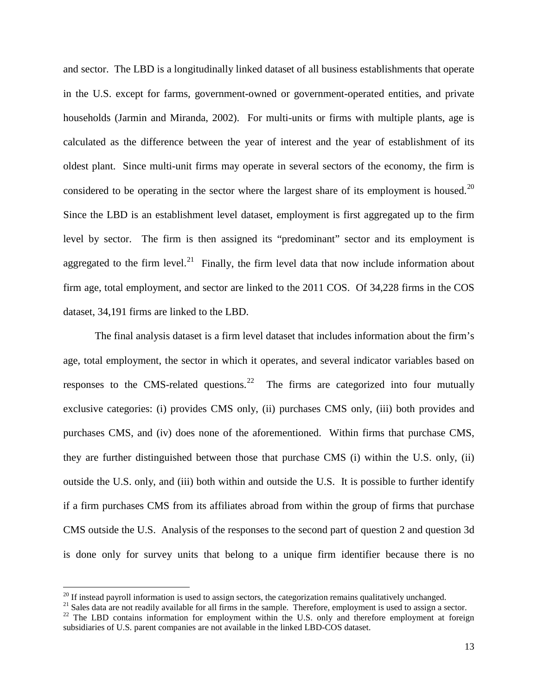and sector. The LBD is a longitudinally linked dataset of all business establishments that operate in the U.S. except for farms, government-owned or government-operated entities, and private households (Jarmin and Miranda, 2002). For multi-units or firms with multiple plants, age is calculated as the difference between the year of interest and the year of establishment of its oldest plant. Since multi-unit firms may operate in several sectors of the economy, the firm is considered to be operating in the sector where the largest share of its employment is housed.<sup>[20](#page-11-3)</sup> Since the LBD is an establishment level dataset, employment is first aggregated up to the firm level by sector. The firm is then assigned its "predominant" sector and its employment is aggregated to the firm level.<sup>[21](#page-12-0)</sup> Finally, the firm level data that now include information about firm age, total employment, and sector are linked to the 2011 COS. Of 34,228 firms in the COS dataset, 34,191 firms are linked to the LBD.

The final analysis dataset is a firm level dataset that includes information about the firm's age, total employment, the sector in which it operates, and several indicator variables based on responses to the CMS-related questions.<sup>[22](#page-12-1)</sup> The firms are categorized into four mutually exclusive categories: (i) provides CMS only, (ii) purchases CMS only, (iii) both provides and purchases CMS, and (iv) does none of the aforementioned. Within firms that purchase CMS, they are further distinguished between those that purchase CMS (i) within the U.S. only, (ii) outside the U.S. only, and (iii) both within and outside the U.S. It is possible to further identify if a firm purchases CMS from its affiliates abroad from within the group of firms that purchase CMS outside the U.S. Analysis of the responses to the second part of question 2 and question 3d is done only for survey units that belong to a unique firm identifier because there is no

<span id="page-12-1"></span><span id="page-12-0"></span>

<sup>&</sup>lt;sup>20</sup> If instead payroll information is used to assign sectors, the categorization remains qualitatively unchanged.<br><sup>21</sup> Sales data are not readily available for all firms in the sample. Therefore, employment is used to as subsidiaries of U.S. parent companies are not available in the linked LBD-COS dataset.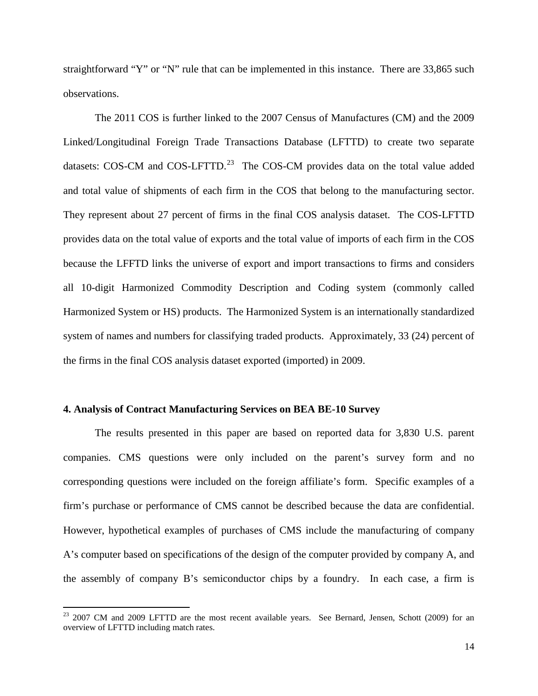straightforward "Y" or "N" rule that can be implemented in this instance. There are 33,865 such observations.

The 2011 COS is further linked to the 2007 Census of Manufactures (CM) and the 2009 Linked/Longitudinal Foreign Trade Transactions Database (LFTTD) to create two separate datasets: COS-CM and COS-LFTTD.<sup>[23](#page-12-1)</sup> The COS-CM provides data on the total value added and total value of shipments of each firm in the COS that belong to the manufacturing sector. They represent about 27 percent of firms in the final COS analysis dataset. The COS-LFTTD provides data on the total value of exports and the total value of imports of each firm in the COS because the LFFTD links the universe of export and import transactions to firms and considers all 10-digit Harmonized Commodity Description and Coding system (commonly called Harmonized System or HS) products. The Harmonized System is an internationally standardized system of names and numbers for classifying traded products. Approximately, 33 (24) percent of the firms in the final COS analysis dataset exported (imported) in 2009.

#### **4. Analysis of Contract Manufacturing Services on BEA BE-10 Survey**

The results presented in this paper are based on reported data for 3,830 U.S. parent companies. CMS questions were only included on the parent's survey form and no corresponding questions were included on the foreign affiliate's form. Specific examples of a firm's purchase or performance of CMS cannot be described because the data are confidential. However, hypothetical examples of purchases of CMS include the manufacturing of company A's computer based on specifications of the design of the computer provided by company A, and the assembly of company B's semiconductor chips by a foundry. In each case, a firm is

<span id="page-13-0"></span><sup>&</sup>lt;sup>23</sup> 2007 CM and 2009 LFTTD are the most recent available years. See Bernard, Jensen, Schott (2009) for an overview of LFTTD including match rates.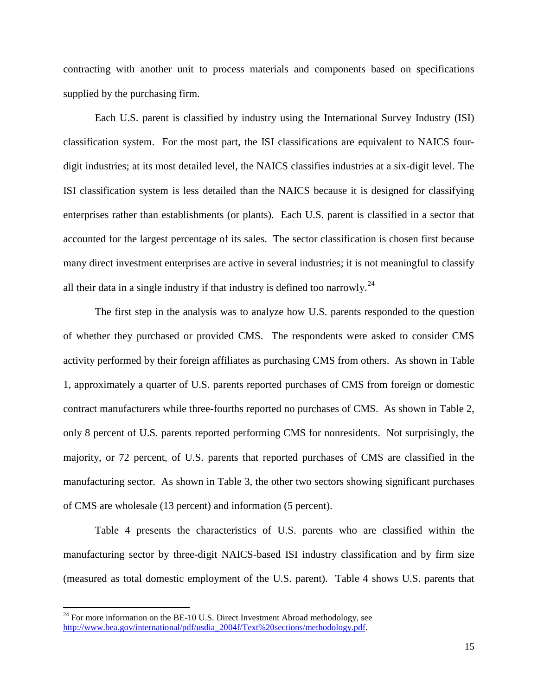contracting with another unit to process materials and components based on specifications supplied by the purchasing firm.

Each U.S. parent is classified by industry using the International Survey Industry (ISI) classification system. For the most part, the ISI classifications are equivalent to NAICS fourdigit industries; at its most detailed level, the NAICS classifies industries at a six-digit level. The ISI classification system is less detailed than the NAICS because it is designed for classifying enterprises rather than establishments (or plants). Each U.S. parent is classified in a sector that accounted for the largest percentage of its sales. The sector classification is chosen first because many direct investment enterprises are active in several industries; it is not meaningful to classify all their data in a single industry if that industry is defined too narrowly.<sup>[24](#page-13-0)</sup>

The first step in the analysis was to analyze how U.S. parents responded to the question of whether they purchased or provided CMS. The respondents were asked to consider CMS activity performed by their foreign affiliates as purchasing CMS from others. As shown in Table 1, approximately a quarter of U.S. parents reported purchases of CMS from foreign or domestic contract manufacturers while three-fourths reported no purchases of CMS. As shown in Table 2, only 8 percent of U.S. parents reported performing CMS for nonresidents. Not surprisingly, the majority, or 72 percent, of U.S. parents that reported purchases of CMS are classified in the manufacturing sector. As shown in Table 3, the other two sectors showing significant purchases of CMS are wholesale (13 percent) and information (5 percent).

Table 4 presents the characteristics of U.S. parents who are classified within the manufacturing sector by three-digit NAICS-based ISI industry classification and by firm size (measured as total domestic employment of the U.S. parent). Table 4 shows U.S. parents that

<span id="page-14-0"></span> $24$  For more information on the BE-10 U.S. Direct Investment Abroad methodology, see [http://www.bea.gov/international/pdf/usdia\\_2004f/Text%20sections/methodology.pdf.](http://www.bea.gov/international/pdf/usdia_2004f/Text%20sections/methodology.pdf)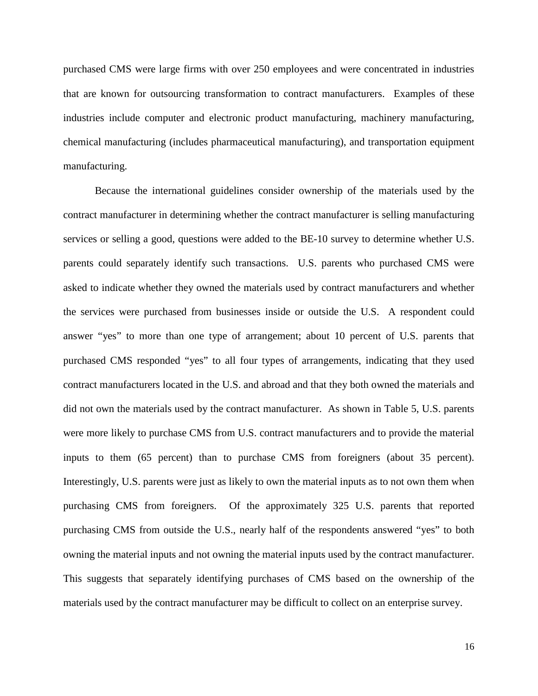purchased CMS were large firms with over 250 employees and were concentrated in industries that are known for outsourcing transformation to contract manufacturers. Examples of these industries include computer and electronic product manufacturing, machinery manufacturing, chemical manufacturing (includes pharmaceutical manufacturing), and transportation equipment manufacturing.

Because the international guidelines consider ownership of the materials used by the contract manufacturer in determining whether the contract manufacturer is selling manufacturing services or selling a good, questions were added to the BE-10 survey to determine whether U.S. parents could separately identify such transactions. U.S. parents who purchased CMS were asked to indicate whether they owned the materials used by contract manufacturers and whether the services were purchased from businesses inside or outside the U.S. A respondent could answer "yes" to more than one type of arrangement; about 10 percent of U.S. parents that purchased CMS responded "yes" to all four types of arrangements, indicating that they used contract manufacturers located in the U.S. and abroad and that they both owned the materials and did not own the materials used by the contract manufacturer. As shown in Table 5, U.S. parents were more likely to purchase CMS from U.S. contract manufacturers and to provide the material inputs to them (65 percent) than to purchase CMS from foreigners (about 35 percent). Interestingly, U.S. parents were just as likely to own the material inputs as to not own them when purchasing CMS from foreigners. Of the approximately 325 U.S. parents that reported purchasing CMS from outside the U.S., nearly half of the respondents answered "yes" to both owning the material inputs and not owning the material inputs used by the contract manufacturer. This suggests that separately identifying purchases of CMS based on the ownership of the materials used by the contract manufacturer may be difficult to collect on an enterprise survey.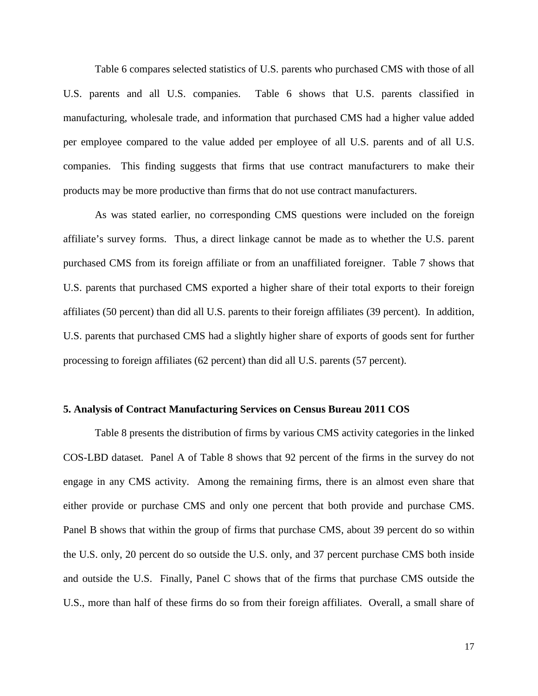Table 6 compares selected statistics of U.S. parents who purchased CMS with those of all U.S. parents and all U.S. companies. Table 6 shows that U.S. parents classified in manufacturing, wholesale trade, and information that purchased CMS had a higher value added per employee compared to the value added per employee of all U.S. parents and of all U.S. companies. This finding suggests that firms that use contract manufacturers to make their products may be more productive than firms that do not use contract manufacturers.

As was stated earlier, no corresponding CMS questions were included on the foreign affiliate's survey forms. Thus, a direct linkage cannot be made as to whether the U.S. parent purchased CMS from its foreign affiliate or from an unaffiliated foreigner. Table 7 shows that U.S. parents that purchased CMS exported a higher share of their total exports to their foreign affiliates (50 percent) than did all U.S. parents to their foreign affiliates (39 percent). In addition, U.S. parents that purchased CMS had a slightly higher share of exports of goods sent for further processing to foreign affiliates (62 percent) than did all U.S. parents (57 percent).

#### **5. Analysis of Contract Manufacturing Services on Census Bureau 2011 COS**

Table 8 presents the distribution of firms by various CMS activity categories in the linked COS-LBD dataset. Panel A of Table 8 shows that 92 percent of the firms in the survey do not engage in any CMS activity. Among the remaining firms, there is an almost even share that either provide or purchase CMS and only one percent that both provide and purchase CMS. Panel B shows that within the group of firms that purchase CMS, about 39 percent do so within the U.S. only, 20 percent do so outside the U.S. only, and 37 percent purchase CMS both inside and outside the U.S. Finally, Panel C shows that of the firms that purchase CMS outside the U.S., more than half of these firms do so from their foreign affiliates. Overall, a small share of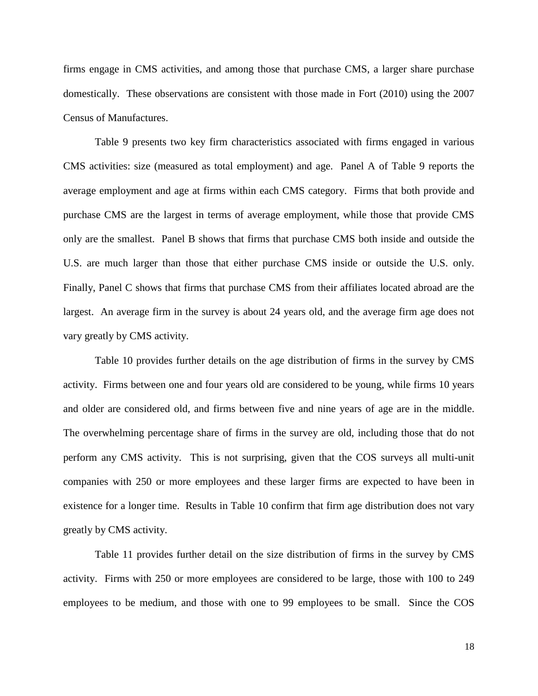firms engage in CMS activities, and among those that purchase CMS, a larger share purchase domestically. These observations are consistent with those made in Fort (2010) using the 2007 Census of Manufactures.

Table 9 presents two key firm characteristics associated with firms engaged in various CMS activities: size (measured as total employment) and age. Panel A of Table 9 reports the average employment and age at firms within each CMS category. Firms that both provide and purchase CMS are the largest in terms of average employment, while those that provide CMS only are the smallest. Panel B shows that firms that purchase CMS both inside and outside the U.S. are much larger than those that either purchase CMS inside or outside the U.S. only. Finally, Panel C shows that firms that purchase CMS from their affiliates located abroad are the largest. An average firm in the survey is about 24 years old, and the average firm age does not vary greatly by CMS activity.

Table 10 provides further details on the age distribution of firms in the survey by CMS activity. Firms between one and four years old are considered to be young, while firms 10 years and older are considered old, and firms between five and nine years of age are in the middle. The overwhelming percentage share of firms in the survey are old, including those that do not perform any CMS activity. This is not surprising, given that the COS surveys all multi-unit companies with 250 or more employees and these larger firms are expected to have been in existence for a longer time. Results in Table 10 confirm that firm age distribution does not vary greatly by CMS activity.

Table 11 provides further detail on the size distribution of firms in the survey by CMS activity. Firms with 250 or more employees are considered to be large, those with 100 to 249 employees to be medium, and those with one to 99 employees to be small. Since the COS

18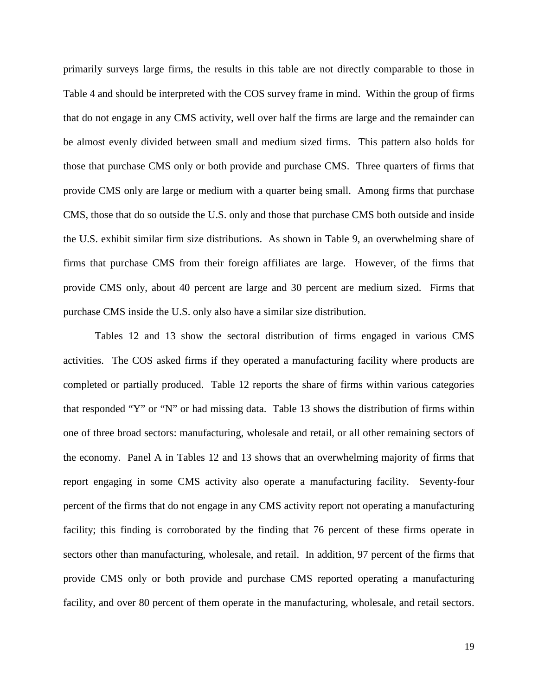primarily surveys large firms, the results in this table are not directly comparable to those in Table 4 and should be interpreted with the COS survey frame in mind. Within the group of firms that do not engage in any CMS activity, well over half the firms are large and the remainder can be almost evenly divided between small and medium sized firms. This pattern also holds for those that purchase CMS only or both provide and purchase CMS. Three quarters of firms that provide CMS only are large or medium with a quarter being small. Among firms that purchase CMS, those that do so outside the U.S. only and those that purchase CMS both outside and inside the U.S. exhibit similar firm size distributions. As shown in Table 9, an overwhelming share of firms that purchase CMS from their foreign affiliates are large. However, of the firms that provide CMS only, about 40 percent are large and 30 percent are medium sized. Firms that purchase CMS inside the U.S. only also have a similar size distribution.

Tables 12 and 13 show the sectoral distribution of firms engaged in various CMS activities. The COS asked firms if they operated a manufacturing facility where products are completed or partially produced. Table 12 reports the share of firms within various categories that responded "Y" or "N" or had missing data. Table 13 shows the distribution of firms within one of three broad sectors: manufacturing, wholesale and retail, or all other remaining sectors of the economy. Panel A in Tables 12 and 13 shows that an overwhelming majority of firms that report engaging in some CMS activity also operate a manufacturing facility. Seventy-four percent of the firms that do not engage in any CMS activity report not operating a manufacturing facility; this finding is corroborated by the finding that 76 percent of these firms operate in sectors other than manufacturing, wholesale, and retail. In addition, 97 percent of the firms that provide CMS only or both provide and purchase CMS reported operating a manufacturing facility, and over 80 percent of them operate in the manufacturing, wholesale, and retail sectors.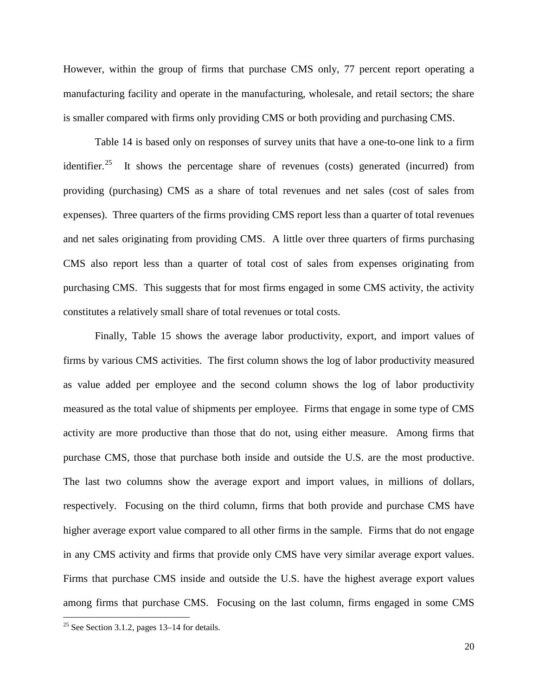However, within the group of firms that purchase CMS only, 77 percent report operating a manufacturing facility and operate in the manufacturing, wholesale, and retail sectors; the share is smaller compared with firms only providing CMS or both providing and purchasing CMS.

Table 14 is based only on responses of survey units that have a one-to-one link to a firm identifier.<sup>[25](#page-14-0)</sup> It shows the percentage share of revenues (costs) generated (incurred) from providing (purchasing) CMS as a share of total revenues and net sales (cost of sales from expenses). Three quarters of the firms providing CMS report less than a quarter of total revenues and net sales originating from providing CMS. A little over three quarters of firms purchasing CMS also report less than a quarter of total cost of sales from expenses originating from purchasing CMS. This suggests that for most firms engaged in some CMS activity, the activity constitutes a relatively small share of total revenues or total costs.

Finally, Table 15 shows the average labor productivity, export, and import values of firms by various CMS activities. The first column shows the log of labor productivity measured as value added per employee and the second column shows the log of labor productivity measured as the total value of shipments per employee. Firms that engage in some type of CMS activity are more productive than those that do not, using either measure. Among firms that purchase CMS, those that purchase both inside and outside the U.S. are the most productive. The last two columns show the average export and import values, in millions of dollars, respectively. Focusing on the third column, firms that both provide and purchase CMS have higher average export value compared to all other firms in the sample. Firms that do not engage in any CMS activity and firms that provide only CMS have very similar average export values. Firms that purchase CMS inside and outside the U.S. have the highest average export values among firms that purchase CMS. Focusing on the last column, firms engaged in some CMS

<span id="page-19-0"></span> $25$  See Section 3.1.2, pages 13–14 for details.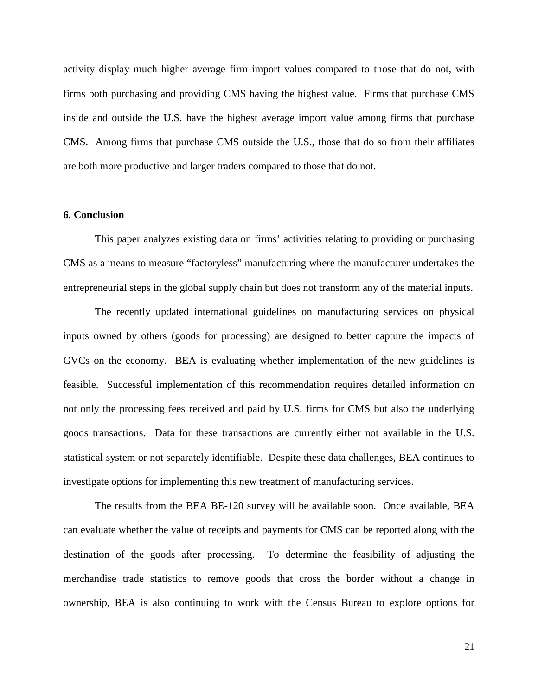activity display much higher average firm import values compared to those that do not, with firms both purchasing and providing CMS having the highest value. Firms that purchase CMS inside and outside the U.S. have the highest average import value among firms that purchase CMS. Among firms that purchase CMS outside the U.S., those that do so from their affiliates are both more productive and larger traders compared to those that do not.

#### **6. Conclusion**

This paper analyzes existing data on firms' activities relating to providing or purchasing CMS as a means to measure "factoryless" manufacturing where the manufacturer undertakes the entrepreneurial steps in the global supply chain but does not transform any of the material inputs.

The recently updated international guidelines on manufacturing services on physical inputs owned by others (goods for processing) are designed to better capture the impacts of GVCs on the economy. BEA is evaluating whether implementation of the new guidelines is feasible. Successful implementation of this recommendation requires detailed information on not only the processing fees received and paid by U.S. firms for CMS but also the underlying goods transactions. Data for these transactions are currently either not available in the U.S. statistical system or not separately identifiable. Despite these data challenges, BEA continues to investigate options for implementing this new treatment of manufacturing services.

The results from the BEA BE-120 survey will be available soon. Once available, BEA can evaluate whether the value of receipts and payments for CMS can be reported along with the destination of the goods after processing. To determine the feasibility of adjusting the merchandise trade statistics to remove goods that cross the border without a change in ownership, BEA is also continuing to work with the Census Bureau to explore options for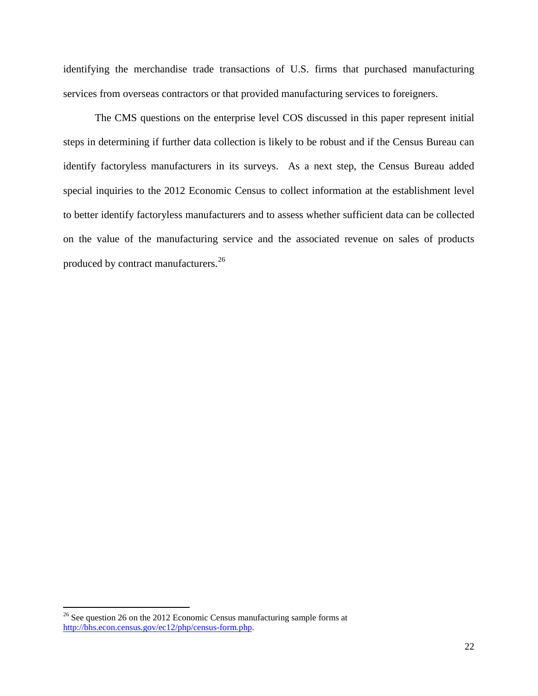identifying the merchandise trade transactions of U.S. firms that purchased manufacturing services from overseas contractors or that provided manufacturing services to foreigners.

The CMS questions on the enterprise level COS discussed in this paper represent initial steps in determining if further data collection is likely to be robust and if the Census Bureau can identify factoryless manufacturers in its surveys. As a next step, the Census Bureau added special inquiries to the 2012 Economic Census to collect information at the establishment level to better identify factoryless manufacturers and to assess whether sufficient data can be collected on the value of the manufacturing service and the associated revenue on sales of products produced by contract manufacturers.<sup>[26](#page-19-0)</sup>

 $26$  See question 26 on the 2012 Economic Census manufacturing sample forms at [http://bhs.econ.census.gov/ec12/php/census-form.php.](http://bhs.econ.census.gov/ec12/php/census-form.php)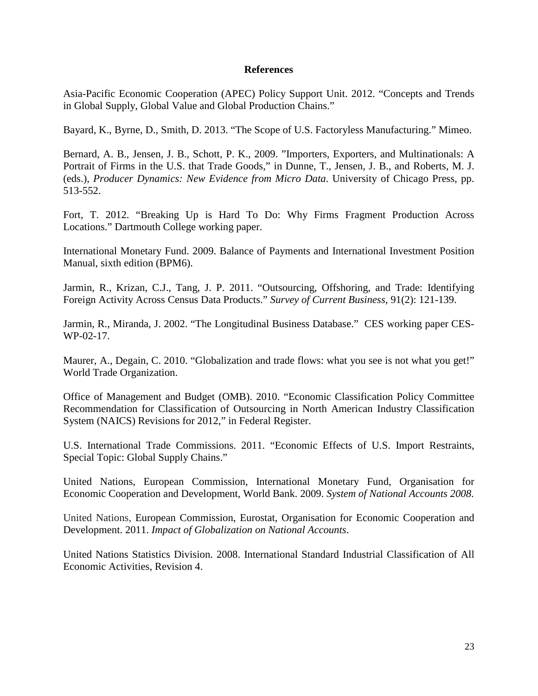#### **References**

Asia-Pacific Economic Cooperation (APEC) Policy Support Unit. 2012. "Concepts and Trends in Global Supply, Global Value and Global Production Chains."

Bayard, K., Byrne, D., Smith, D. 2013. "The Scope of U.S. Factoryless Manufacturing." Mimeo.

Bernard, A. B., Jensen, J. B., Schott, P. K., 2009. "Importers, Exporters, and Multinationals: A Portrait of Firms in the U.S. that Trade Goods," in Dunne, T., Jensen, J. B., and Roberts, M. J. (eds.), *Producer Dynamics: New Evidence from Micro Data*. University of Chicago Press, pp. 513-552.

Fort, T. 2012. "Breaking Up is Hard To Do: Why Firms Fragment Production Across Locations." Dartmouth College working paper.

International Monetary Fund. 2009. Balance of Payments and International Investment Position Manual, sixth edition (BPM6).

Jarmin, R., Krizan, C.J., Tang, J. P. 2011. "Outsourcing, Offshoring, and Trade: Identifying Foreign Activity Across Census Data Products." *Survey of Current Business*, 91(2): 121-139.

Jarmin, R., Miranda, J. 2002. "The Longitudinal Business Database." CES working paper CES-WP-02-17.

Maurer, A., Degain, C. 2010. "Globalization and trade flows: what you see is not what you get!" World Trade Organization.

Office of Management and Budget (OMB). 2010. "Economic Classification Policy Committee Recommendation for Classification of Outsourcing in North American Industry Classification System (NAICS) Revisions for 2012," in Federal Register.

U.S. International Trade Commissions. 2011. "Economic Effects of U.S. Import Restraints, Special Topic: Global Supply Chains."

United Nations, European Commission, International Monetary Fund, Organisation for Economic Cooperation and Development, World Bank. 2009. *System of National Accounts 2008*.

United Nations, European Commission, Eurostat, Organisation for Economic Cooperation and Development. 2011. *Impact of Globalization on National Accounts*.

United Nations Statistics Division. 2008. International Standard Industrial Classification of All Economic Activities, Revision 4.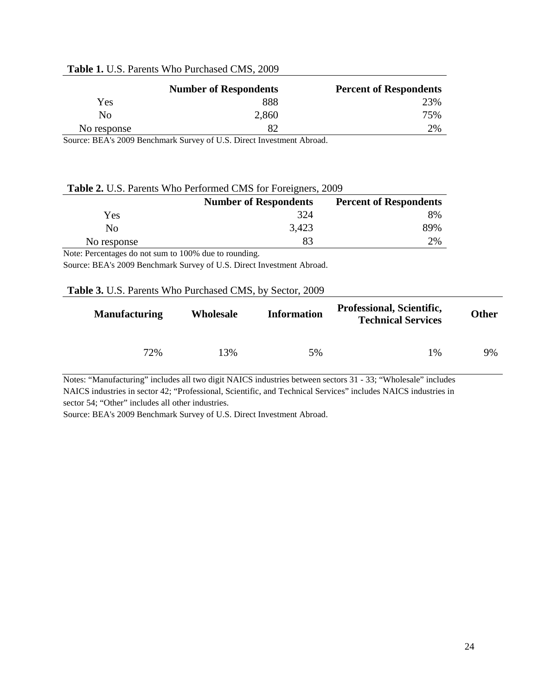|             | <b>Number of Respondents</b> | <b>Percent of Respondents</b> |
|-------------|------------------------------|-------------------------------|
| Yes         | 888                          | 23%                           |
| Nο          | 2,860                        | 75%                           |
| No response |                              | 2%                            |

#### **Table 1.** U.S. Parents Who Purchased CMS, 2009

Source: BEA's 2009 Benchmark Survey of U.S. Direct Investment Abroad.

#### **Table 2.** U.S. Parents Who Performed CMS for Foreigners, 2009

|             | <b>Number of Respondents</b> | <b>Percent of Respondents</b> |
|-------------|------------------------------|-------------------------------|
| Yes         | 324                          | 8%                            |
| Nο          | 3,423                        | 89%                           |
| No response |                              | 2%                            |

Note: Percentages do not sum to 100% due to rounding.

Source: BEA's 2009 Benchmark Survey of U.S. Direct Investment Abroad.

#### **Table 3.** U.S. Parents Who Purchased CMS, by Sector, 2009

| <b>Manufacturing</b> | Wholesale | <b>Information</b> | Professional, Scientific,<br><b>Technical Services</b> | <b>Other</b> |
|----------------------|-----------|--------------------|--------------------------------------------------------|--------------|
| 72%                  | 13%       | 5%                 | $1\%$                                                  | 9%           |

Notes: "Manufacturing" includes all two digit NAICS industries between sectors 31 - 33; "Wholesale" includes NAICS industries in sector 42; "Professional, Scientific, and Technical Services" includes NAICS industries in sector 54; "Other" includes all other industries.

Source: BEA's 2009 Benchmark Survey of U.S. Direct Investment Abroad.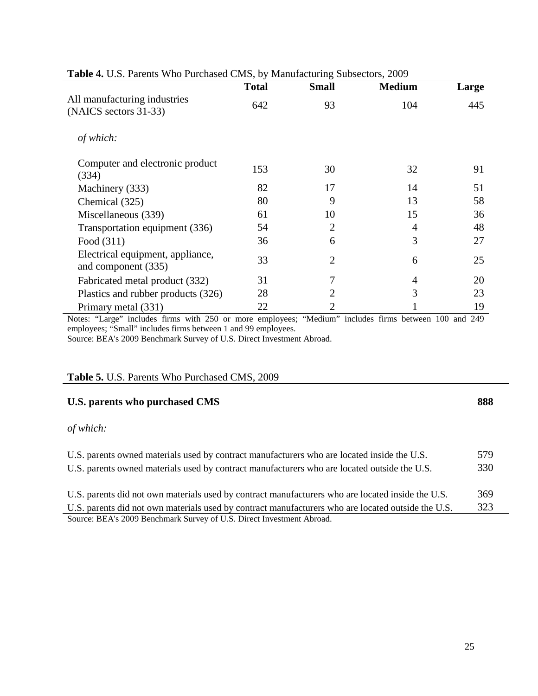|                                                         | <b>Total</b> | <b>Small</b>   | <b>Medium</b> | Large |
|---------------------------------------------------------|--------------|----------------|---------------|-------|
| All manufacturing industries<br>(NAICS sectors 31-33)   | 642          | 93             | 104           | 445   |
| of which:                                               |              |                |               |       |
| Computer and electronic product<br>(334)                | 153          | 30             | 32            | 91    |
| Machinery (333)                                         | 82           | 17             | 14            | 51    |
| Chemical (325)                                          | 80           | 9              | 13            | 58    |
| Miscellaneous (339)                                     | 61           | 10             | 15            | 36    |
| Transportation equipment (336)                          | 54           | $\overline{2}$ | 4             | 48    |
| Food (311)                                              | 36           | 6              | 3             | 27    |
| Electrical equipment, appliance,<br>and component (335) | 33           | $\overline{2}$ | 6             | 25    |
| Fabricated metal product (332)                          | 31           | 7              | 4             | 20    |
| Plastics and rubber products (326)                      | 28           | 2              | 3             | 23    |
| Primary metal (331)                                     | 22           | $\overline{2}$ |               | 19    |

**Table 4.** U.S. Parents Who Purchased CMS, by Manufacturing Subsectors, 2009

Notes: "Large" includes firms with 250 or more employees; "Medium" includes firms between 100 and 249 employees; "Small" includes firms between 1 and 99 employees.

Source: BEA's 2009 Benchmark Survey of U.S. Direct Investment Abroad.

## **Table 5.** U.S. Parents Who Purchased CMS, 2009

# **U.S. parents who purchased CMS 888**

# *of which:*

| U.S. parents owned materials used by contract manufacturers who are located inside the U.S.<br>U.S. parents owned materials used by contract manufacturers who are located outside the U.S. | 579<br>330 |
|---------------------------------------------------------------------------------------------------------------------------------------------------------------------------------------------|------------|
| U.S. parents did not own materials used by contract manufacturers who are located inside the U.S.                                                                                           | 369        |
| U.S. parents did not own materials used by contract manufacturers who are located outside the U.S.                                                                                          | 323        |
| Source: BEA's 2009 Benchmark Survey of U.S. Direct Investment Abroad.                                                                                                                       |            |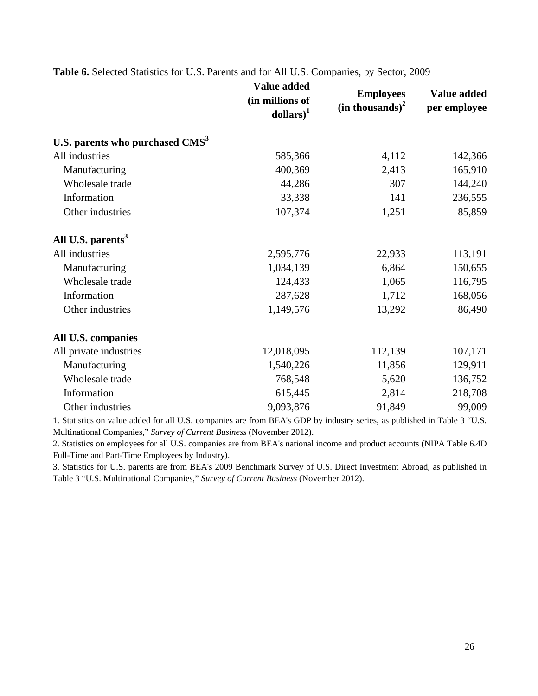|                                             | Value added<br>(in millions of<br>$\text{dollars}\right)^1$ | <b>Employees</b><br>(in thousands) <sup>2</sup> | Value added<br>per employee |
|---------------------------------------------|-------------------------------------------------------------|-------------------------------------------------|-----------------------------|
| U.S. parents who purchased CMS <sup>3</sup> |                                                             |                                                 |                             |
| All industries                              | 585,366                                                     | 4,112                                           | 142,366                     |
| Manufacturing                               | 400,369                                                     | 2,413                                           | 165,910                     |
| Wholesale trade                             | 44,286                                                      | 307                                             | 144,240                     |
| Information                                 | 33,338                                                      | 141                                             | 236,555                     |
| Other industries                            | 107,374                                                     | 1,251                                           | 85,859                      |
| All U.S. parents <sup>3</sup>               |                                                             |                                                 |                             |
| All industries                              | 2,595,776                                                   | 22,933                                          | 113,191                     |
| Manufacturing                               | 1,034,139                                                   | 6,864                                           | 150,655                     |
| Wholesale trade                             | 124,433                                                     | 1,065                                           | 116,795                     |
| Information                                 | 287,628                                                     | 1,712                                           | 168,056                     |
| Other industries                            | 1,149,576                                                   | 13,292                                          | 86,490                      |
| All U.S. companies                          |                                                             |                                                 |                             |
| All private industries                      | 12,018,095                                                  | 112,139                                         | 107,171                     |
| Manufacturing                               | 1,540,226                                                   | 11,856                                          | 129,911                     |
| Wholesale trade                             | 768,548                                                     | 5,620                                           | 136,752                     |
| Information                                 | 615,445                                                     | 2,814                                           | 218,708                     |
| Other industries                            | 9,093,876                                                   | 91,849                                          | 99,009                      |

**Table 6.** Selected Statistics for U.S. Parents and for All U.S. Companies, by Sector, 2009

1. Statistics on value added for all U.S. companies are from BEA's GDP by industry series, as published in Table 3 "U.S. Multinational Companies," *Survey of Current Business* (November 2012).

2. Statistics on employees for all U.S. companies are from BEA's national income and product accounts (NIPA Table 6.4D Full-Time and Part-Time Employees by Industry).

3. Statistics for U.S. parents are from BEA's 2009 Benchmark Survey of U.S. Direct Investment Abroad, as published in Table 3 "U.S. Multinational Companies," *Survey of Current Business* (November 2012).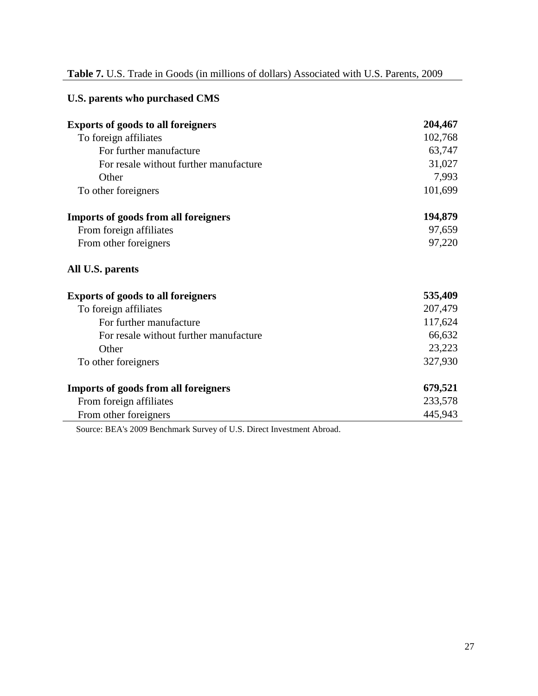# **Table 7.** U.S. Trade in Goods (in millions of dollars) Associated with U.S. Parents, 2009

| U.S. parents who purchased CMS              |         |
|---------------------------------------------|---------|
| <b>Exports of goods to all foreigners</b>   | 204,467 |
| To foreign affiliates                       | 102,768 |
| For further manufacture                     | 63,747  |
| For resale without further manufacture      | 31,027  |
| Other                                       | 7,993   |
| To other foreigners                         | 101,699 |
| <b>Imports of goods from all foreigners</b> | 194,879 |
| From foreign affiliates                     | 97,659  |
| From other foreigners                       | 97,220  |
| All U.S. parents                            |         |
| <b>Exports of goods to all foreigners</b>   | 535,409 |
| To foreign affiliates                       | 207,479 |
| For further manufacture                     | 117,624 |
| For resale without further manufacture      | 66,632  |
| Other                                       | 23,223  |
| To other foreigners                         | 327,930 |
| <b>Imports of goods from all foreigners</b> | 679,521 |
| From foreign affiliates                     | 233,578 |
| From other foreigners                       | 445,943 |

Source: BEA's 2009 Benchmark Survey of U.S. Direct Investment Abroad.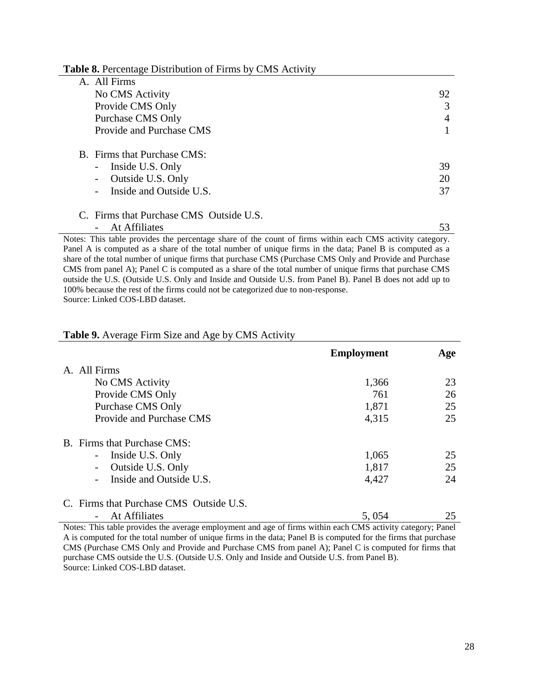**Table 8.** Percentage Distribution of Firms by CMS Activity

| A. All Firms                                                                |    |
|-----------------------------------------------------------------------------|----|
| No CMS Activity                                                             | 92 |
| Provide CMS Only                                                            | 3  |
| Purchase CMS Only                                                           | 4  |
| Provide and Purchase CMS                                                    |    |
| B. Firms that Purchase CMS:<br>Inside U.S. Only<br>$\overline{\phantom{0}}$ | 39 |
| Outside U.S. Only<br>-                                                      | 20 |
| Inside and Outside U.S.                                                     | 37 |
| C. Firms that Purchase CMS Outside U.S.                                     |    |
| At Affiliates                                                               | 53 |

Notes: This table provides the percentage share of the count of firms within each CMS activity category. Panel A is computed as a share of the total number of unique firms in the data; Panel B is computed as a share of the total number of unique firms that purchase CMS (Purchase CMS Only and Provide and Purchase CMS from panel A); Panel C is computed as a share of the total number of unique firms that purchase CMS outside the U.S. (Outside U.S. Only and Inside and Outside U.S. from Panel B). Panel B does not add up to 100% because the rest of the firms could not be categorized due to non-response.

Source: Linked COS-LBD dataset.

#### **Table 9.** Average Firm Size and Age by CMS Activity

|                                         | <b>Employment</b> | Age |
|-----------------------------------------|-------------------|-----|
| A. All Firms                            |                   |     |
| No CMS Activity                         | 1,366             | 23  |
| Provide CMS Only                        | 761               | 26  |
| <b>Purchase CMS Only</b>                | 1,871             | 25  |
| Provide and Purchase CMS                | 4,315             | 25  |
| B. Firms that Purchase CMS:             |                   |     |
| - Inside U.S. Only                      | 1,065             | 25  |
| Outside U.S. Only<br>$\sim$             | 1,817             | 25  |
| Inside and Outside U.S.                 | 4,427             | 24  |
| C. Firms that Purchase CMS Outside U.S. |                   |     |
| At Affiliates                           | 5,054             | 25  |

Notes: This table provides the average employment and age of firms within each CMS activity category; Panel A is computed for the total number of unique firms in the data; Panel B is computed for the firms that purchase CMS (Purchase CMS Only and Provide and Purchase CMS from panel A); Panel C is computed for firms that purchase CMS outside the U.S. (Outside U.S. Only and Inside and Outside U.S. from Panel B). Source: Linked COS-LBD dataset.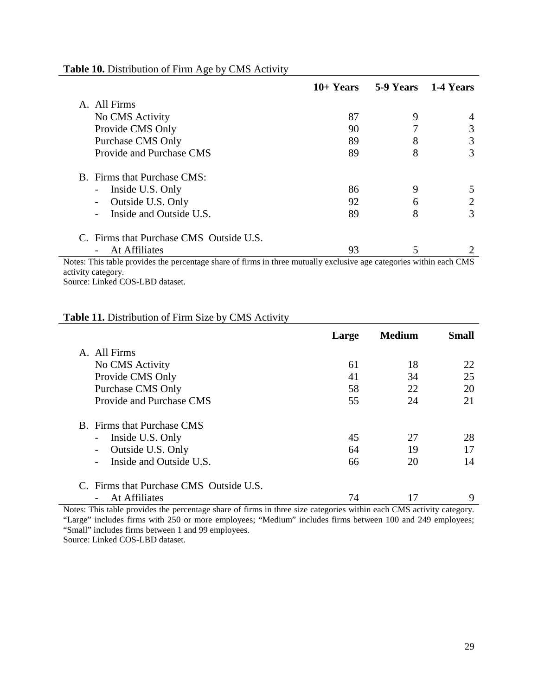|                                         | $10+Years$ |   | 5-9 Years 1-4 Years |
|-----------------------------------------|------------|---|---------------------|
| A. All Firms                            |            |   |                     |
| No CMS Activity                         | 87         | 9 | 4                   |
| Provide CMS Only                        | 90         |   | 3                   |
| Purchase CMS Only                       | 89         | 8 | 3                   |
| Provide and Purchase CMS                | 89         | 8 | 3                   |
| B. Firms that Purchase CMS:             |            |   |                     |
| Inside U.S. Only<br>-                   | 86         | 9 | 5                   |
| Outside U.S. Only<br>-                  | 92         | 6 | 2                   |
| Inside and Outside U.S.                 | 89         | 8 | 3                   |
| C. Firms that Purchase CMS Outside U.S. |            |   |                     |
| At Affiliates                           | 93         |   |                     |

#### Table 10. Distribution of Firm Age by CMS Activity

Notes: This table provides the percentage share of firms in three mutually exclusive age categories within each CMS activity category.

Source: Linked COS-LBD dataset.

# **Table 11.** Distribution of Firm Size by CMS Activity

|                                                  | Large | <b>Medium</b> | Small |
|--------------------------------------------------|-------|---------------|-------|
| A. All Firms                                     |       |               |       |
| No CMS Activity                                  | 61    | 18            | 22    |
| Provide CMS Only                                 | 41    | 34            | 25    |
| Purchase CMS Only                                | 58    | 22            | 20    |
| Provide and Purchase CMS                         | 55    | 24            | 21    |
| B. Firms that Purchase CMS                       |       |               |       |
| Inside U.S. Only<br>$\qquad \qquad \blacksquare$ | 45    | 27            | 28    |
| Outside U.S. Only                                | 64    | 19            | 17    |
| Inside and Outside U.S.                          | 66    | 20            | 14    |
| C. Firms that Purchase CMS Outside U.S.          |       |               |       |
| At Affiliates                                    | 74    |               | 9     |

Notes: This table provides the percentage share of firms in three size categories within each CMS activity category. "Large" includes firms with 250 or more employees; "Medium" includes firms between 100 and 249 employees; "Small" includes firms between 1 and 99 employees.

Source: Linked COS-LBD dataset.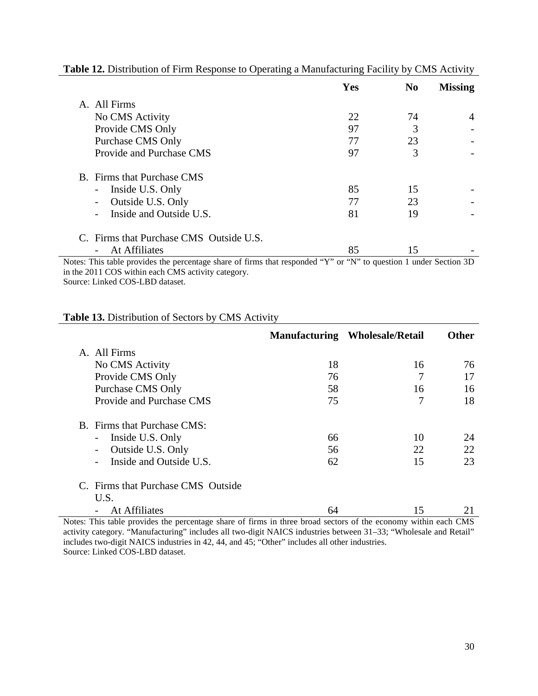|                                               | Yes | N <sub>0</sub> | <b>Missing</b> |
|-----------------------------------------------|-----|----------------|----------------|
| A. All Firms                                  |     |                |                |
| No CMS Activity                               | 22  | 74             | 4              |
| Provide CMS Only                              | 97  |                |                |
| <b>Purchase CMS Only</b>                      | 77  | 23             |                |
| Provide and Purchase CMS                      | 97  | 3              |                |
| <b>B.</b> Firms that Purchase CMS             |     |                |                |
| Inside U.S. Only<br>$\blacksquare$            | 85  | 15             |                |
| Outside U.S. Only<br>$\overline{\phantom{a}}$ | 77  | 23             |                |
| Inside and Outside U.S.                       | 81  | 19             |                |
| C. Firms that Purchase CMS Outside U.S.       |     |                |                |
| At Affiliates<br>$\overline{\phantom{a}}$     | 85  | 15             |                |

# **Table 12.** Distribution of Firm Response to Operating a Manufacturing Facility by CMS Activity

Notes: This table provides the percentage share of firms that responded "Y" or "N" to question 1 under Section 3D in the 2011 COS within each CMS activity category. Source: Linked COS-LBD dataset.

# **Table 13.** Distribution of Sectors by CMS Activity

|                                               |    | <b>Manufacturing Wholesale/Retail</b> | <b>Other</b> |
|-----------------------------------------------|----|---------------------------------------|--------------|
| A. All Firms                                  |    |                                       |              |
| No CMS Activity                               | 18 | 16                                    | 76           |
| Provide CMS Only                              | 76 | 7                                     | 17           |
| <b>Purchase CMS Only</b>                      | 58 | 16                                    | 16           |
| Provide and Purchase CMS                      | 75 | 7                                     | 18           |
| B. Firms that Purchase CMS:                   |    |                                       |              |
| Inside U.S. Only<br>$\overline{\phantom{a}}$  | 66 | 10                                    | 24           |
| Outside U.S. Only<br>$\overline{\phantom{a}}$ | 56 | 22                                    | 22           |
| Inside and Outside U.S.                       | 62 | 15                                    | 23           |
| C. Firms that Purchase CMS Outside            |    |                                       |              |
| U.S.                                          |    |                                       |              |
| At Affiliates                                 | 64 | 15                                    |              |

Notes: This table provides the percentage share of firms in three broad sectors of the economy within each CMS activity category. "Manufacturing" includes all two-digit NAICS industries between 31–33; "Wholesale and Retail" includes two-digit NAICS industries in 42, 44, and 45; "Other" includes all other industries. Source: Linked COS-LBD dataset.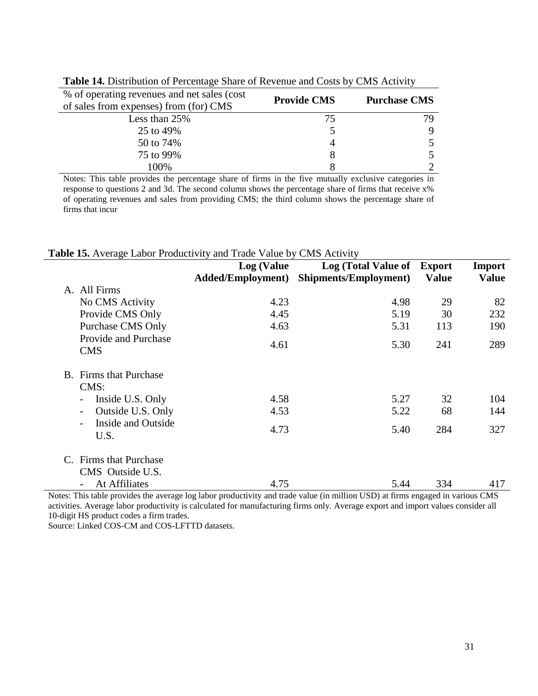| % of operating revenues and net sales (cost)<br>of sales from expenses) from (for) CMS | <b>Provide CMS</b> | <b>Purchase CMS</b>         |
|----------------------------------------------------------------------------------------|--------------------|-----------------------------|
| Less than 25%                                                                          | 75                 | 79.                         |
| 25 to 49%                                                                              |                    | 9                           |
| 50 to 74%                                                                              |                    | 5.                          |
| 75 to 99%                                                                              | 8                  | 5                           |
| 100\%                                                                                  |                    | $\mathcal{D}_{\mathcal{L}}$ |

**Table 14.** Distribution of Percentage Share of Revenue and Costs by CMS Activity

Notes: This table provides the percentage share of firms in the five mutually exclusive categories in response to questions 2 and 3d. The second column shows the percentage share of firms that receive x% of operating revenues and sales from providing CMS; the third column shows the percentage share of firms that incur

|  |  |  | Table 15. Average Labor Productivity and Trade Value by CMS Activity |
|--|--|--|----------------------------------------------------------------------|
|--|--|--|----------------------------------------------------------------------|

|    |                                              | <b>Log</b> (Value        | Log (Total Value of Export   |              | Import       |
|----|----------------------------------------------|--------------------------|------------------------------|--------------|--------------|
|    |                                              | <b>Added/Employment)</b> | <b>Shipments/Employment)</b> | <b>Value</b> | <b>Value</b> |
|    | A. All Firms                                 |                          |                              |              |              |
|    | No CMS Activity                              | 4.23                     | 4.98                         | 29           | 82           |
|    | Provide CMS Only                             | 4.45                     | 5.19                         | 30           | 232          |
|    | <b>Purchase CMS Only</b>                     | 4.63                     | 5.31                         | 113          | 190          |
|    | Provide and Purchase<br><b>CMS</b>           | 4.61                     | 5.30                         | 241          | 289          |
| B. | Firms that Purchase                          |                          |                              |              |              |
|    | CMS:                                         |                          |                              |              |              |
|    | Inside U.S. Only<br>$\overline{\phantom{a}}$ | 4.58                     | 5.27                         | 32           | 104          |
|    | Outside U.S. Only                            | 4.53                     | 5.22                         | 68           | 144          |
|    | Inside and Outside<br>U.S.                   | 4.73                     | 5.40                         | 284          | 327          |
|    | Firms that Purchase                          |                          |                              |              |              |
|    | CMS Outside U.S.                             |                          |                              |              |              |
|    | At Affiliates                                | 4.75                     | 5.44                         | 334          | 417          |

Notes: This table provides the average log labor productivity and trade value (in million USD) at firms engaged in various CMS activities. Average labor productivity is calculated for manufacturing firms only. Average export and import values consider all 10-digit HS product codes a firm trades.

Source: Linked COS-CM and COS-LFTTD datasets.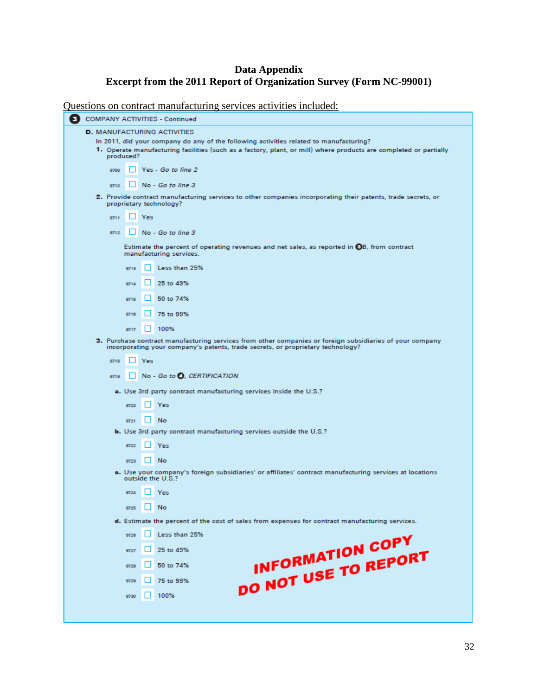## **Data Appendix Excerpt from the 2011 Report of Organization Survey (Form NC-99001)**

Questions on contract manufacturing services activities included:

| <b>COMPANY ACTIVITIES - Continued</b>                                                                                                                                                                                    |  |  |  |
|--------------------------------------------------------------------------------------------------------------------------------------------------------------------------------------------------------------------------|--|--|--|
| <b>D.</b> MANUFACTURING ACTIVITIES                                                                                                                                                                                       |  |  |  |
| In 2011, did your company do any of the following activities related to manufacturing?<br>1. Operate manufacturing facilities (such as a factory, plant, or mill) where products are completed or partially<br>produced? |  |  |  |
| Yes - Go to line 2<br>9709                                                                                                                                                                                               |  |  |  |
| No - Go to line 3<br>9710                                                                                                                                                                                                |  |  |  |
| 2. Provide contract manufacturing services to other companies incorporating their patents, trade secrets, or<br>proprietary technology?                                                                                  |  |  |  |
| Yes<br>9711                                                                                                                                                                                                              |  |  |  |
| No - Go to line 3<br>9712                                                                                                                                                                                                |  |  |  |
| Estimate the percent of operating revenues and net sales, as reported in OB, from contract<br>manufacturing services.                                                                                                    |  |  |  |
| Less than 25%<br>9713                                                                                                                                                                                                    |  |  |  |
| 25 to 49%<br>9714                                                                                                                                                                                                        |  |  |  |
| 50 to 74%<br>9715                                                                                                                                                                                                        |  |  |  |
| 75 to 99%<br>9716                                                                                                                                                                                                        |  |  |  |
| 100%<br>9717                                                                                                                                                                                                             |  |  |  |
| 3. Purchase contract manufacturing services from other companies or foreign subsidiaries of your company<br>incorporating your company's patents, trade secrets, or proprietary technology?                              |  |  |  |
| 9718<br>Yes                                                                                                                                                                                                              |  |  |  |
| No - Go to O, CERTIFICATION<br>9719                                                                                                                                                                                      |  |  |  |
| a. Use 3rd party contract manufacturing services inside the U.S.?                                                                                                                                                        |  |  |  |
| Yes<br>9720                                                                                                                                                                                                              |  |  |  |
| No<br>9721                                                                                                                                                                                                               |  |  |  |
| <b>b.</b> Use 3rd party contract manufacturing services outside the U.S.?                                                                                                                                                |  |  |  |
| 9722<br>Yes                                                                                                                                                                                                              |  |  |  |
| No<br>9723                                                                                                                                                                                                               |  |  |  |
| o. Use your company's foreign subsidiaries' or affiliates' contract manufacturing services at locations<br>outside the U.S.?                                                                                             |  |  |  |
| 9724<br>Yes                                                                                                                                                                                                              |  |  |  |
| No<br>9725                                                                                                                                                                                                               |  |  |  |
| d. Estimate the percent of the cost of sales from expenses for contract manufacturing services.                                                                                                                          |  |  |  |
| Less than 25%<br>9726                                                                                                                                                                                                    |  |  |  |
| 25 to 49%<br>9727                                                                                                                                                                                                        |  |  |  |
| INFORMATION COPY<br>DO NOT USE TO REPORT<br>50 to 74%<br>9728                                                                                                                                                            |  |  |  |
| 75 to 99%<br>9729                                                                                                                                                                                                        |  |  |  |
| 100%<br>9730                                                                                                                                                                                                             |  |  |  |
|                                                                                                                                                                                                                          |  |  |  |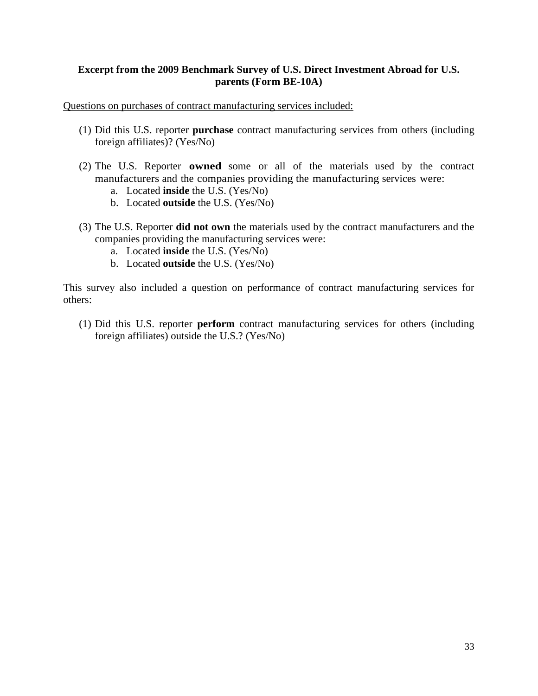# **Excerpt from the 2009 Benchmark Survey of U.S. Direct Investment Abroad for U.S. parents (Form BE-10A)**

Questions on purchases of contract manufacturing services included:

- (1) Did this U.S. reporter **purchase** contract manufacturing services from others (including foreign affiliates)? (Yes/No)
- (2) The U.S. Reporter **owned** some or all of the materials used by the contract manufacturers and the companies providing the manufacturing services were:
	- a. Located **inside** the U.S. (Yes/No)
	- b. Located **outside** the U.S. (Yes/No)
- (3) The U.S. Reporter **did not own** the materials used by the contract manufacturers and the companies providing the manufacturing services were:
	- a. Located **inside** the U.S. (Yes/No)
	- b. Located **outside** the U.S. (Yes/No)

This survey also included a question on performance of contract manufacturing services for others:

(1) Did this U.S. reporter **perform** contract manufacturing services for others (including foreign affiliates) outside the U.S.? (Yes/No)